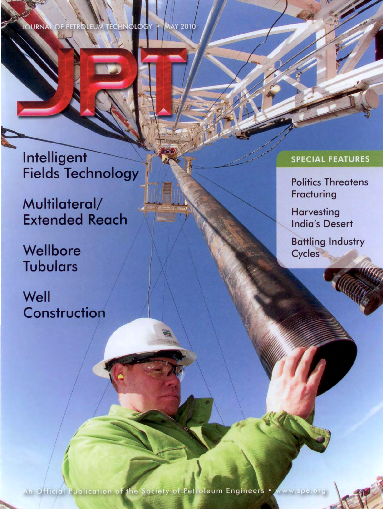**OURNAL OF PETROLEUM TECHNOLOGY AY 2010** 

Intelligent **Fields Technology** 

Multilateral/ **Extended Reach** 

Wellbore **Tubulars** 

Well Construction

### **SPECIAL FEATURES**

**Politics Threatens** Fracturing

**Harvesting India's Desert** 

**Battling Industry** Cycles

An Official Publication of the Society of Petroleum Engineers . www.spe.org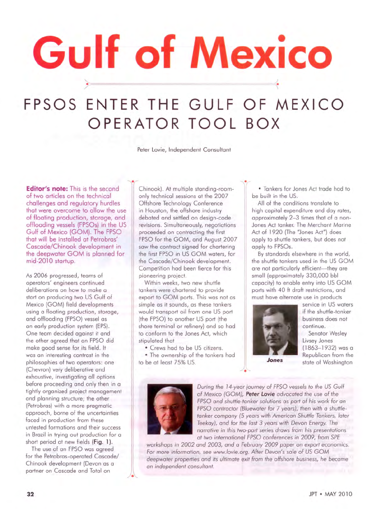# o • **X**ico

# FPS.OS ENTER THE GULF OF MEXIC **OPERATOR TOOL BOX**

Peter Lovie, Independent Consultant

Editor's note: This is the second of two articles on the technical challenges and regulatory hurdles that were overcome to allow the use of floating production, storage, and ' offloading vessels (FPSOs) in the US Gulf of Mexico (GOM). The FPSO that will be installed at Petrobras' Cascade/Chinook development in the deepwater GOM is planned for mid-2010 startup.

 $\leftarrow$ 

•

As 2006 progressed, teams of operators' engineers continued deliberations on how to make a start on producing two US Gulf of Mexico (GOM) field developments using a flooting production, storage, and offloading (FPSO) vessel as an early production system (EPS). One team decided against it and the other agreed that an FPSO did make good sense for its field. It was an interesting contrast in the philosophies of two operotors: one (Chevron) very deliberative and exhaustive, investigating all options before proceeding and only then in a tightly organized project management and planning structure; the other (Petrobras) with a more pragmatic approach, borne of the uncertainties faced in production from these untested formations and their success in Brazil in trying out production for a short period at new fields (Fig. 1).

The use of an FPSO was agreed for the Petrobras-operated Cascade/ Chinook development (Devon as a partner on Cascade and Total on

Chinook). At multiple standing-roomonly technical sessions at the 2007 Offshore Technology Conference in Houston, the offshore industry debated and settled on design-code revisions. Simultaneously, negotiations proceeded on contracting the first FPSO for the GOM, and August 2007 saw the contract signed for chartering the first FPSO in US GOM waters, for the Cascade/Chinook development. Competition had been fierce for this pioneering project.

Within weeks, two new shuttle tankers were chartered to provide export to GOM ports. This was not as simple as it sounds, as these tankers would tronsport oil from one US port (the FPSO) to another US port (the shore terminal or refinery) and so had to conform to the Jones Act, which stipulated that

• Crews had to be US citizens.

• The ownership of the tankers had to be at least 75% US.

• Tankers for Jones Act trade had to be built in the US.

•

•*I*

All of the conditions translate to high capital expenditure and day rates, approximately 2-3 times that of a non-Jones Act tanker. The Merchant Marine Act of 1920 (The "Jones Act") does apply to shuttle tankers, but does not apply to FPSOs.

By standards elsewhere in the world, the shuttle tankers used in the US GOM are not particularly efficient-they are small (approximately 330,000 bbl capacity) to enable entry into US GOM ports with 40 ft draft restrictions, and must have alternate use in products



service in US waters if the shuttle-tanker business does not continue.

Senator Wesley Livsey Jones (1863-1932) was a Republican from the Jones state of Washington



).

During *the 14-year iourney of FPSO vessels to the* US *Gulf of Mexico (GOM), Peter Lovie advocated the* use of *the FPSO and shuttle-tanker solutions* as *part* of his *work* for *an FPSO* contrador *(Bluewater* for 7 *years), then with* a *shuttletanker company* (5 *years with* American *Shuttle Tankers, later Teekay), and* for *the last* 3 *years with Devon Energy. The* narrative *in this* two-part series *draws from* his presentations *at* two *international FPSO conferences in* 2009, from *SPE*

*workshops in* 2002 *and* 2003, *and* a *February* 2009 *paper on export* economics. *For* more *information,* see *www.lovie.org. After Devon's sale* of US *GOM deepwater properties and* its *ultimate exit from the* offshore business, *he became an independent consultant.*

•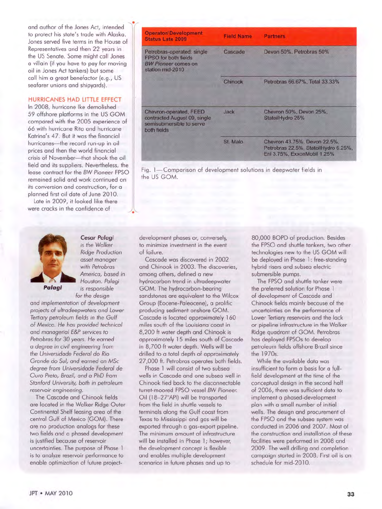and author of the Jones Act, intended to protect his state's trade with Alaska. Jones served five terms in the House of Representatives and then 22 years in the US Senate. Some might call Jones a villain (if you have to pay for moving oil in Jones Act tankers) but some call him a great benefactor (e.g., US seafarer unions and shipyards).

•

•

#### HURRICANES HAD **LITTLE EFFECT**

In 2008, hurricane Ike demolished 59 offshore platforms in the US GOM compared with the 2005 experience of 66 with hurricane Rita and hurricane Katrina's 47. But it was the financial hurricanes-the record run-up in oil prices and then the world financial crisis of November-that shook the oil field and its suppliers. Nevertheless, the lease contract for the BW *Pioneer* FPSO , remained solid and work continued on its conversion and construction, for a planned first oil date of June 2010.

Late in 2009, it looked like there were cracks in the confidence of

> *Cesar Palagi is the Walker Ridge Produdion* asset *manager with Petrobras America, based* in *Houston. Pa/agi*



**Pa/ag;** *is responsible*

*for the design and implementation* of *development projeds* of *ultradeepwaters and Lower Tertiary* petroleum *fields in the* Gulf of *Mexico. He* has *provided technical and managerial E&P*services *to Petrobras for* 30 years. *He earned* a *degree* in *civil engineering* from *the Universidade Federol do Rio Grande do SuI, and earned an MSc degree* from *Universidade Federal de Ouro Preto, Brazil, and* a *PhD* from *Stanford University, both in petroleum* reservoir *engineering.*

The Cascade and Chinook fields are located in the Walker Ridge Outer Continental Shelf leasing area of the central Gulf of Mexico (GOM). There are no production analogs for these two fields and a phased development is justified because of reservoir uncertainties. The purpose of Phase 1 is to analyze reservoir performance to enable optimization of future project-

| <b>Operator/Development</b><br><b>Status Late 2009</b>                                            | <b>Field Name</b> | <b>Partners</b>                             |
|---------------------------------------------------------------------------------------------------|-------------------|---------------------------------------------|
| Petrobras-operated: single<br>FPSO for both fields<br>BW Pioneer comes on<br>station mid-2010     | Cascade           | Devon 50%, Petrobras 50%                    |
|                                                                                                   | Chinook           | Petrobras 66.67%, Total 33.33%              |
| Chevron-operated, FEED<br>contracted August 09, single<br>semisubmersible to serve<br>both fields | Jack              | Chevron 50%, Devon 25%,<br>StatoilHydro 25% |
|                                                                                                   |                   |                                             |
|                                                                                                   |                   |                                             |

Fig. 1-Comparison of development solutions in deepwater fields in the US GOM.

development phases or, conversely, to minimize investment in the event of failure.

Cascade was discovered in 2002 and Chinook in 2003. The discoveries, among others, defined a new hydrocarbon trend in ultradeepwater GOM. The hydrocarbon-bearing sandstones are equivalent to the Wilcox Group (Eocene-Paleocene), a prolific producing sediment onshore GOM. Cascade is located approximately 160 miles south of the Louisiana coast in 8,200 ft water depth and Chinook is approximately 15 miles south of Cascade in 8,700 ft water depth. Wells will be drilled to a total depth of approximately 27,000 ft. Petrobras operates both fields.

Phase 1 will consist of two subsea wells in Cascade and one subsea well in Chinook tied back to the disconnectable turret-moored FPSO vessel BW *Pioneer.* Oil (18-27°API) will be transported from the field in shuttle vessels to terminals along the Gulf coast from Texas to Mississippi and gas will be exported through a gas-export pipeline. The minimum amount of infrastructure will be installed in Phase 1; however, the development concept is flexible and enables multiple development scenarios in future phases and up to

80,000 BOPD of production. Besides the FPSO and shuttle tankers, two other technologies new to the US GOM will be deployed in Phase 1: free-standing hybrid risers and subsea electric submersible pumps.

The FPSO and shuttle tanker were the preferred solution for Phase 1 af development af Cascade and Chinook fields mainly because of the uncertainties on the performance of Lower Tertiary reservoirs and the lack or pipeline infrastructure in the Walker Ridge quadrant of GOM. Petrobras has deployed FPSOs to develop petroleum fields affshore Brazil since the 1970s.

While the available data was insufficient to form a basis for a fullfield development at the time of the conceptual design in the second half of 2006, there was sufficient data to implement a phased-development plan with a small number of initial wells. The design and procurement of the FPSO and the subsea system was conducted in 2006 and 2007. Most of the construction and installation of these facilities were performed in 2008 and 2009. The well drilling and completion campaign started in 2008. First oil is on schedule for mid-2010.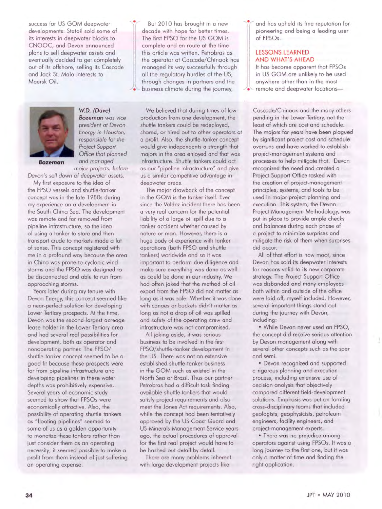success for US GOM deepwater developments: Statoil sold some of its interests in deepwater blocks to CNOOC, and Devon announced plans to sell deepwater assets and eventually decided to get completely out of its offshore, selling its Cascade and Jack St. Malo interests to Maersk Oil.



*WD. (Dave)* Bozeman was *vice*

*president* at *Devon Energy* in *Houston, responsible for the Ptoiect Support Office that planned* **Bozeman** *and managed moiot ptoiects, before*

*Devon's sell down* of *deepwater* assets. My first exposure to the idea of the FPSO vessels and shuttle-tanker concept was in the late 1980s during my experience on a development in the South China Sea. The development was remote and for removed from pipeline infrastructure, so the ideo of using a tanker to store and then transport crude to markets mode a lot of sense. This concept registered with me in a profound way because the area in China was prone to cyclonic wind storms and the FPSO was designed to be disconnected and able to run from approaching storms.

Years later during my tenure with Devon Energy, this concept seemed like a near-perfect solution for developing Lower Tertiary prospects. At the time, Devon was the second-largest acreage lease holder in the Lower Tertiary area and had several real possibilities for development, both as operator and nonoperating portner. The FPSO/ shuttle-tanker concept seemed to be a good fit because these prospects were far from pipeline infrastructure and developing pipelines in these water depths was prohibitively expensive. Several years of economic study seemed to show that FPSOs were economically attractive. Also, the possibility of operating shuttle tankers as "floating pipelines" seemed to some of us as a golden opportunity to monetize these tankers rather than just consider them as an operating necessity; it seemed possible to make a profit from them instead of just suffering on operating expense.

• But <sup>2010</sup> has brought in a new decode with hope for better times. The first FPSO for the US GOM is complete and en route at the time this article was written. Petrobras as the operator at Cascade/Chinook has managed its way successfully through all the regulatory hurdles of the US, through changes in partners and the business climate during the journey,

We believed that during times of low production from one development, the shuttle tankers could be redeployed, shored, or hired out to other operators at a profit. Also, the shuttle-tanker concept would give independents a strength that majors in the area enjoyed and that was infrastructure. Shuttle tankers could act as our "pipeline infrastructure" and give us a similar competitive advantage in deepwater areas.

The major drawback of the concept in the GOM is the tanker itself. Ever since the Valdez incident there has been a very real concern for the potential liability of a large oil spill due to a tanker occident whether caused by nature or man. However, there is a huge body of experience with tanker operations (both FPSO and shuttle tankers) worldwide and so it was important to perform due diligence and make sure everything was done as well as could be done in our industry. We had often joked that the method of oil export from the FPSO did not matter as long as it was safe. Whether it was done with canoes or buckets didn't matter as long as not a drop of oil was spilled and safety of the operating crew and infrastructure was not compromised.

All joking aside, it was serious business to be involved in the first FPSO/shuttle-tanker development in the US. There was not on extensive established shuttle-tanker business in the GOM such as existed in the North Sea or Brazil. Thus our portner Petrobras hod a difficult task finding available shuttle tankers that would satisfy project requirements and also meet the Jones Act requirements. Also, while the concept hod been tentatively approved by the US Coast Guard and US Minerals Management Service years ago, the actual procedures of approval for the first real project would have to be hashed out detail by detail.

There are many problems inherent with large development projects like

and has upheld its fine reputation for pioneering and being a leading user of FPSOs.

#### LESSONS LEARNED AND WHAT'S AHEAD

It has become apparent that FPSOs in US GOM are unlikely to be used anywhere other than in the most remote and deepwater locations-

Cascade/Chinook and the many others pending in the Lower Tertiary, not the least of which are cost and schedule. The majors for years have been plagued by significant project cost and schedule overruns and have worked to establish project-management systems and processes to help mitigate that. Devon recognized the need and created a Project Support Office tasked with the creation of project-management principles, systems, and tools to be used in major project planning and execution. This system, the Devon Project Management Methodology, was put in place to provide ample checks and balances during each phose of a project to minimize surprises and mitigate the risk of them when surprises did occur.

All of that effort is now moot, since Devon has sold its deepwater interests for reasons valid to its new corporate strategy. The Project Support Office was disbanded and many employees both within and outside of the office were laid off, myself included. However, several important things stand out during the journey with Devon, including:

• While Devon never used an FPSO, the concept did receive serious attention by Devon management along with several other concepts such as the spar and semi.

• Devon recognized and supported a rigorous planning and execution process, including extensive use of decision analysis that objectively compared different field-development solutions. Emphasis was put on forming cross-disciplinary teams that included geologists, geophysicists, petroleum engineers, facility engineers, and project-management experts.

• There was no prejudice among operators against using FPSOs. It was a long journey to the first one, but it was only a matter of time and finding the right application.